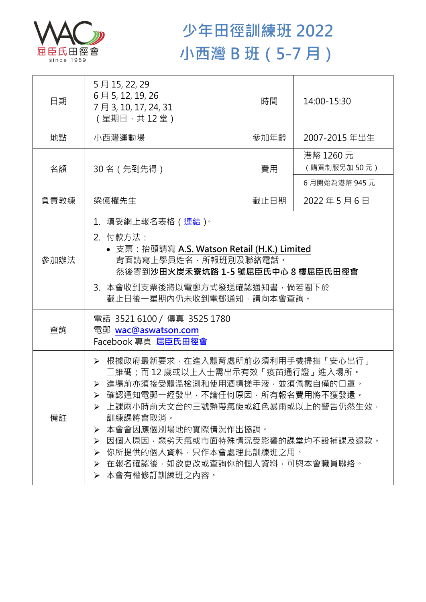

## **少年田徑訓練班 2022 小西灣 B 班(5-7 月)**

| 日期   | 5月15, 22, 29<br>6月5, 12, 19, 26<br>7月3,10,17,24,31<br>(星期日 · 共12堂)                                                                                                                                                                                                                                                                                             | 時間   | 14:00-15:30              |  |
|------|----------------------------------------------------------------------------------------------------------------------------------------------------------------------------------------------------------------------------------------------------------------------------------------------------------------------------------------------------------------|------|--------------------------|--|
| 地點   | 小西灣運動場                                                                                                                                                                                                                                                                                                                                                         | 參加年齡 | 2007-2015 年出生            |  |
| 名額   | 30名 (先到先得)                                                                                                                                                                                                                                                                                                                                                     | 費用   | 港幣 1260 元<br>(購買制服另加50元) |  |
|      |                                                                                                                                                                                                                                                                                                                                                                |      | 6月開始為港幣 945元             |  |
| 負責教練 | 梁億權先生                                                                                                                                                                                                                                                                                                                                                          | 截止日期 | 2022年5月6日                |  |
| 參加辦法 | 1.填妥網上報名表格(連結) <sup>。</sup><br>2. 付款方法:<br>• 支票: 抬頭請寫 A.S. Watson Retail (H.K.) Limited<br>背面請寫上學員姓名,所報班別及聯絡電話。<br>然後寄到沙田火炭禾寮坑路 1-5 號屈臣氏中心 8 樓屈臣氏田徑會<br>3. 本會收到支票後將以電郵方式發送確認通知書,倘若閣下於<br>截止日後一星期內仍未收到電郵通知,請向本會查詢。                                                                                                                                              |      |                          |  |
| 查詢   | 電話 3521 6100 / 傳真 3525 1780<br>電郵 wac@aswatson.com<br>Facebook 專頁 屈臣氏田徑會                                                                                                                                                                                                                                                                                       |      |                          |  |
| 備註   | ▶ 根據政府最新要求,在進入體育處所前必須利用手機掃描「安心出行」<br>二維碼;而 12 歳或以上人士需出示有效「疫苗通行證」進入場所。<br>▶ 進場前亦須接受體溫檢測和使用酒精搓手液·並須佩戴自備的口罩。<br>▶ 確認通知電郵一經發出,不論任何原因,所有報名費用將不獲發還。<br>▶ 上課兩小時前天文台的三號熱帶氣旋或紅色暴雨或以上的警告仍然生效,<br>訓練課將會取消。<br>本會會因應個別場地的實際情況作出協調。<br>➤<br>因個人原因,惡劣天氣或市面特殊情況受影響的課堂均不設補課及狠款。<br>➤<br>你所提供的個人資料,只作本會處理此訓練班之用。<br>➤<br>在報名確認後,如欲更改或查詢你的個人資料,可與本會職員聯絡。<br>≻<br>▶ 本會有權修訂訓練班之內容。 |      |                          |  |